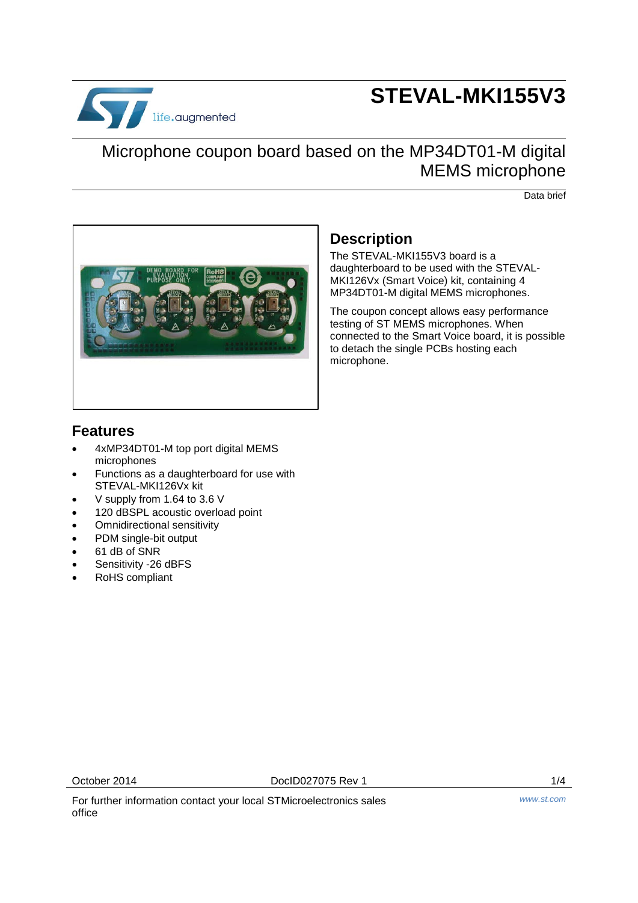

# **STEVAL-MKI155V3**

### Microphone coupon board based on the MP34DT01-M digital MEMS microphone

Data brief



### **Description**

The STEVAL-MKI155V3 board is a daughterboard to be used with the STEVAL-MKI126Vx (Smart Voice) kit, containing 4 MP34DT01-M digital MEMS microphones.

The coupon concept allows easy performance testing of ST MEMS microphones. When connected to the Smart Voice board, it is possible to detach the single PCBs hosting each microphone.

#### **Features**

- 4xMP34DT01-M top port digital MEMS microphones
- Functions as a daughterboard for use with STEVAL-MKI126Vx kit
- V supply from 1.64 to 3.6 V
- 120 dBSPL acoustic overload point
- Omnidirectional sensitivity
- PDM single-bit output
- 61 dB of SNR
- Sensitivity -26 dBFS
- RoHS compliant

October 2014 **DocID027075** Rev 1 **1/4** 

For further information contact your local STMicroelectronics sales office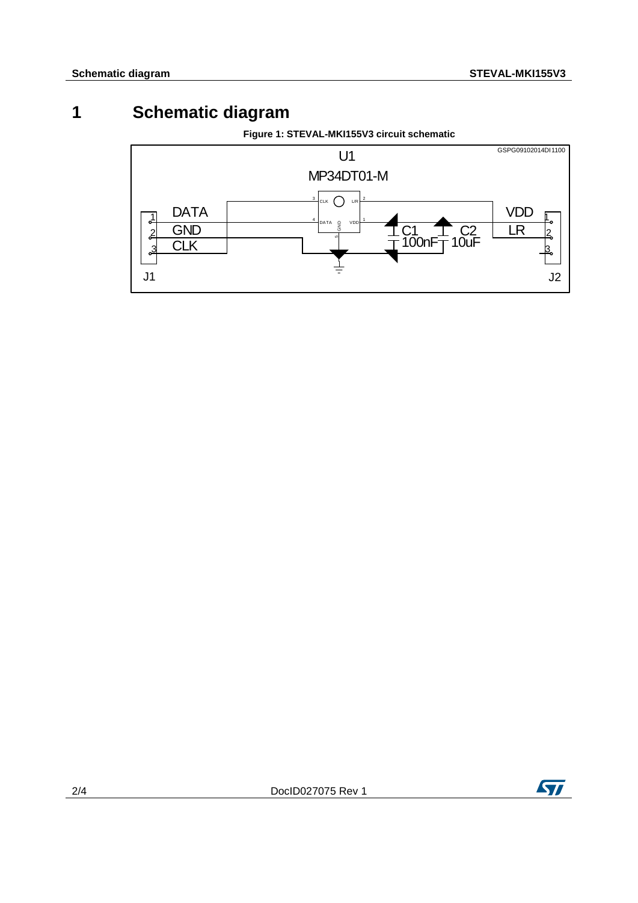### **1 Schematic diagram**

**Figure 1: STEVAL-MKI155V3 circuit schematic**



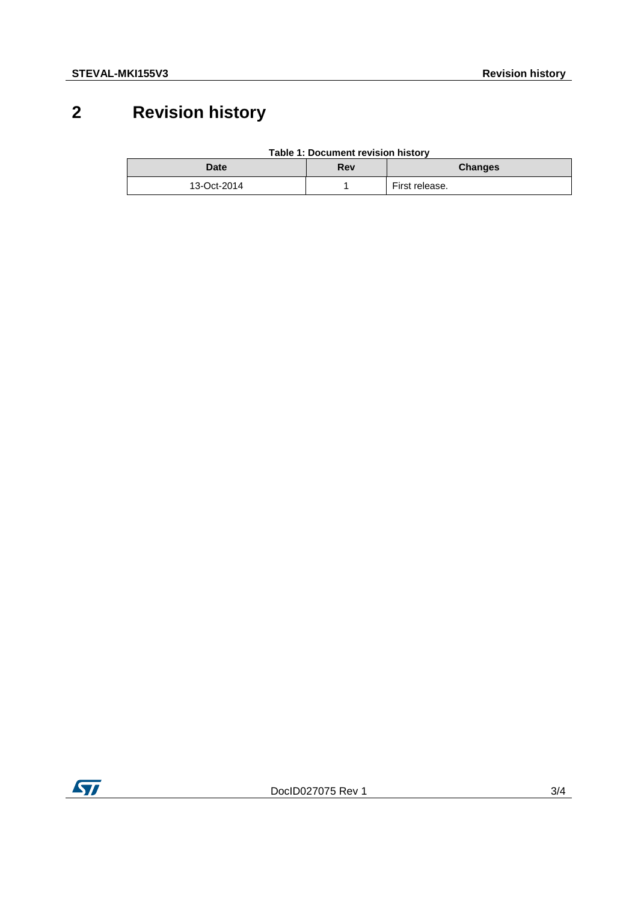## **2 Revision history**

| <b>Date</b> | Rev | <b>Changes</b> |
|-------------|-----|----------------|
| 13-Oct-2014 |     | First release. |